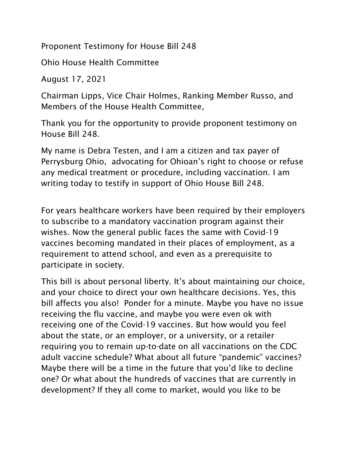Proponent Testimony for House Bill 248

Ohio House Health Committee

August 17, 2021

Chairman Lipps, Vice Chair Holmes, Ranking Member Russo, and Members of the House Health Committee,

Thank you for the opportunity to provide proponent testimony on House Bill 248.

My name is Debra Testen, and I am a citizen and tax payer of Perrysburg Ohio, advocating for Ohioan's right to choose or refuse any medical treatment or procedure, including vaccination. I am writing today to testify in support of Ohio House Bill 248.

For years healthcare workers have been required by their employers to subscribe to a mandatory vaccination program against their wishes. Now the general public faces the same with Covid-19 vaccines becoming mandated in their places of employment, as a requirement to attend school, and even as a prerequisite to participate in society.

This bill is about personal liberty. It's about maintaining our choice, and your choice to direct your own healthcare decisions. Yes, this bill affects you also! Ponder for a minute. Maybe you have no issue receiving the flu vaccine, and maybe you were even ok with receiving one of the Covid-19 vaccines. But how would you feel about the state, or an employer, or a university, or a retailer requiring you to remain up-to-date on all vaccinations on the CDC adult vaccine schedule? What about all future "pandemic" vaccines? Maybe there will be a time in the future that you'd like to decline one? Or what about the hundreds of vaccines that are currently in development? If they all come to market, would you like to be